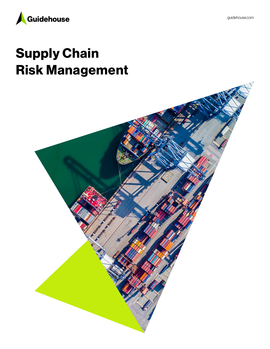

# Supply Chain Risk Management

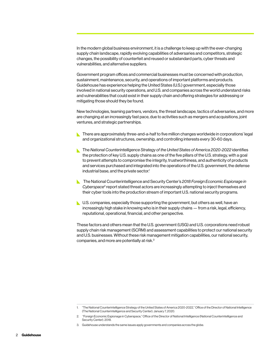In the modern global business environment, it is a challenge to keep up with the ever-changing supply chain landscape, rapidly evolving capabilities of adversaries and competitors, strategic changes, the possibility of counterfeit and reused or substandard parts, cyber threats and vulnerabilities, and alternative suppliers.

Government program offices and commercial businesses must be concerned with production, sustainment, maintenance, security, and operations of important platforms and products. Guidehouse has experience helping the United States (U.S.) government, especially those involved in national security operations, and U.S. and companies across the world understand risks and vulnerabilities that could exist in their supply chain and offering strategies for addressing or mitigating those should they be found.

New technologies, teaming partners, vendors, the threat landscape, tactics of adversaries, and more are changing at an increasingly fast pace, due to activities such as mergers and acquisitions, joint ventures, and strategic partnerships.

- There are approximately three-and-a-half to five million changes worldwide in corporations' legal and organizational structures, ownership, and controlling interests every 30-60 days.
- **The National Counterintelligence Strategy of the United States of America 2020-2022 identifies** the protection of key U.S. supply chains as one of the five pillars of the U.S. strategy, with a goal to prevent attempts to compromise the integrity, trustworthiness, and authenticity of products and services purchased and integrated into the operations of the U.S. government, the defense industrial base, and the private sector.<sup>1</sup>
- The National Counterintelligence and Security Center's *2018 Foreign Economic Espionage in*  Cyberspace<sup>2</sup> report stated threat actors are increasingly attempting to inject themselves and their cyber tools into the production stream of important U.S. national security programs.
- U.S. companies, especially those supporting the government, but others as well, have an increasingly high stake in knowing who is in their supply chains — from a risk, legal, efficiency, reputational, operational, financial, and other perspective.

These factors and others mean that the U.S. government (USG) and U.S. corporations need robust supply chain risk management (SCRM) and assessment capabilities to protect our national security and U.S. businesses. Without these risk management mitigation capabilities, our national security, companies, and more are potentially at risk.3

<sup>1.</sup> "The National Counterintelligence Strategy of the United States of America 2020-2022," Office of the Director of National Intelligence (The National Counterintelligence and Security Center). January 7, 2020.

<sup>2. &</sup>quot;Foreign Economic Espionage in Cyberspace," Office of the Director of National Intelligence (National Counterintelligence and Security Center). 2018.

<sup>3.</sup> Guidehouse understands the same issues apply governments and companies across the globe.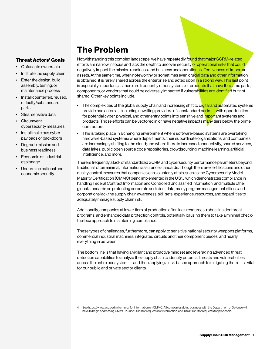### The Problem

#### Threat Actors' Goals

- • Obfuscate ownership
- Infiltrate the supply chain
- Enter the design, build, assembly, testing, or maintenance process
- Install counterfeit, reused, or faulty/substandard parts
- Steal sensitive data
- **Circumvent** cybersecurity measures
- Install malicious cyber payloads or backdoors
- Degrade mission and business readiness
- Economic or industrial espionage
- • Undermine national and economic security

Notwithstanding this complex landscape, we have repeatedly found that major SCRM-related efforts are narrow in focus and lack the depth to uncover security or operational risks that could negatively impact the mission readiness and business and operational effectiveness of important assets. At the same time, when noteworthy or sometimes even crucial data and other information is obtained, it is rarely shared across the enterprise and acted upon in a strong way. This last point is especially important, as there are frequently other systems or products that have the same parts, components, or vendors that could be adversely impacted if vulnerabilities are identified but not shared. Other key points include:

- The complexities of the global supply chain and increasing shift to digital and automated systems provide bad actors — including unwitting providers of substandard parts — with opportunities for potential cyber, physical, and other entry points into sensitive and important systems and products. Those efforts can be vectored in or have negative impacts many tiers below the prime contractors.
- • This is taking place in a changing environment where software-based systems are overtaking hardware-based systems; where departments, their subordinate organizations, and companies are increasingly shifting to the cloud; and where there is increased connectivity, shared services, data lakes, public open source code repositories, crowdsourcing, machine learning, artificial intelligence, and more.

There is frequently a lack of standardized SCRM and cybersecurity performance parameters beyond traditional, often minimal, information assurance standards. Though there are certifications and other quality control measures that companies can voluntarily attain, such as the Cybersecurity Model Maturity Certification (CMMC) being implemented in the U.S4 ., which demonstrates compliance in handling Federal Contract Information and Controlled Unclassified Information, and multiple other global standards on protecting corporate and client data, many program management offices and corporations lack the supply chain awareness, skill sets, experience, resources, and capabilities to adequately manage supply chain risk.

Additionally, companies at lower tiers of production often lack resources, robust insider threat programs, and enhanced data protection controls, potentially causing them to take a minimal checkthe-box approach to maintaining compliance.

These types of challenges, furthermore, can apply to sensitive national security weapons platforms, commercial industrial machines, integrated circuits and their component pieces, and nearly everything in between.

The bottom line is that having a vigilant and proactive mindset and leveraging advanced threat detection capabilities to analyze the supply chain to identify potential threats and vulnerabilities across the entire ecosystem — and then applying a risk-based approach to mitigating them — is vital for our public and private sector clients.

<sup>4.</sup> See https://www.acq.osd.mil/cmmc/ for information on CMMC. All companies doing business with the Department of Defense will have to begin addressing CMMC in June 2020 for requests for information, and in fall 2020 for requests for proposals.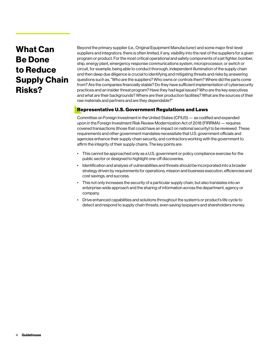# What Can Be Done to Reduce Supply Chain Risks?

Beyond the primary supplier (i.e., Original Equipment Manufacturer) and some major first-level suppliers and integrators, there is often limited, if any, visibility into the rest of the suppliers for a given program or product. For the most critical operational and safety components of a jet fighter, bomber, ship, energy plant, emergency response communications system, microprocessor, or switch or circuit, for example, being able to conduct thorough, independent illumination of the supply chain and then deep due diligence is crucial to identifying and mitigating threats and risks by answering questions such as, "Who are the suppliers? Who owns or controls them? Where did the parts come from? Are the companies financially stable? Do they have sufficient implementation of cybersecurity practices and an insider threat program? Have they had legal issues? Who are the key executives and what are their backgrounds? Where are their production facilities? What are the sources of their raw materials and partners and are they dependable?"

#### Representative U.S. Government Regulations and Laws

Committee on Foreign Investment in the United States (CFIUS) — as codified and expanded upon in the Foreign Investment Risk Review Modernization Act of 2018 (FIRRMA) — requires covered transactions (those that could have an impact on national security) to be reviewed. These requirements and other government mandates necessitate that U.S. government officials and agencies enhance their supply chain security, and contractors working with the government to affirm the integrity of their supply chains. The key points are:

- • This cannot be approached only as a U.S. government or policy compliance exercise for the public sector or designed to highlight one-off discoveries.
- • Identification and analysis of vulnerabilities and threats should be incorporated into a broader strategy driven by requirements for operations, mission and business execution, efficiencies and cost savings, and success.
- • This not only increases the security of a particular supply chain, but also translates into an enterprise-wide approach and the sharing of information across the department, agency or company.
- Drive enhanced capabilities and solutions throughout the system's or product's life cycle to detect and respond to supply chain threats, even saving taxpayers and shareholders money.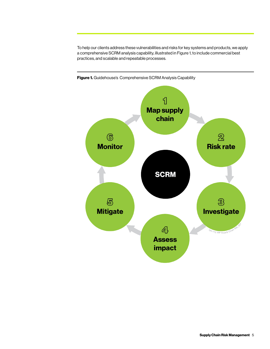To help our clients address these vulnerabilities and risks for key systems and products, we apply a comprehensive SCRM analysis capability, illustrated in Figure 1, to include commercial best practices, and scalable and repeatable processes.



Figure 1. Guidehouse's Comprehensive SCRM Analysis Capability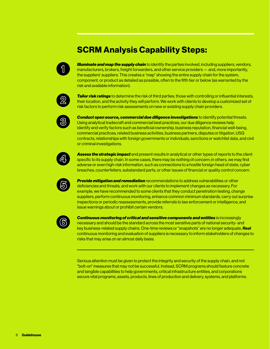## SCRM Analysis Capability Steps:



*Illuminate and map the supply chain* to identify the parties involved, including suppliers, vendors, manufacturers, brokers, freight forwarders, and other service providers — and, more importantly, the suppliers' suppliers. This creates a "map" showing the entire supply chain for the system, component, or product as detailed as possible, often to the fifth tier or below (as warranted by the risk and available information).



*Tailor risk ratings* to determine the risk of third parties, those with controlling or influential interests, their location, and the activity they will perform. We work with clients to develop a customized set of risk factors to perform risk assessments on new or existing supply chain providers.



*Conduct open source, commercial due diligence investigations* to identify potential threats. Using analytical tradecraft and commercial best practices, our due diligence reviews help identify and verify factors such as beneficial ownership, business reputation, financial well-being, commercial practices, related business activities, business partners, disputes or litigation, USG contracts, relationships with foreign governments or individuals, sanctions or watchlist data, and civil or criminal investigations.



*Assess the strategic impact* and present results in analytical or other types of reports to the client specific to its supply chain. In some cases, there may be nothing of concern; in others, we may find adverse or even high-risk information, such as connections to a hostile foreign head of state, cyber breaches, counterfeiters, substandard parts, or other issues of financial or quality control concern.



*Provide mitigation and remediation* recommendations to address vulnerabilities or other deficiencies and threats, and work with our clients to implement changes as necessary. For example, we have recommended to some clients that they conduct penetration testing, change suppliers, perform continuous monitoring, enhance common minimum standards, carry out surprise inspections or periodic reassessments, provide referrals to law enforcement or intelligence, and issue warnings about or prohibit certain vendors.



*Continuous monitoring of critical and sensitive components and entities* is increasingly necessary and should be the standard across the most sensitive parts of national security- and key business-related supply chains. One-time reviews or "snapshots" are no longer adequate. *Real* continuous monitoring and evaluation of suppliers is necessary to inform stakeholders of changes to risks that may arise on an almost daily basis.

Serious attention must be given to protect the integrity and security of the supply chain, and not "bolt-on" measures that may not be successful. Instead, SCRM programs should feature concrete and tangible capabilities to help governments, critical infrastructure entities, and corporations secure vital programs, assets, products, lines of production and delivery, systems, and platforms.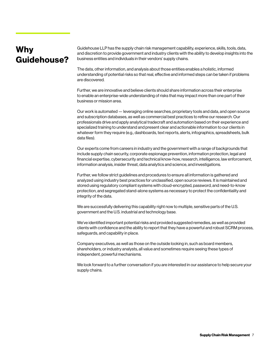# Why Guidehouse?

Guidehouse LLP has the supply chain risk management capability, experience, skills, tools, data, and discretion to provide government and industry clients with the ability to develop insights into the business entities and individuals in their vendors' supply chains.

The data, other information, and analysis about those entities enables a holistic, informed understanding of potential risks so that real, effective and informed steps can be taken if problems are discovered.

Further, we are innovative and believe clients should share information across their enterprise to enable an enterprise-wide understanding of risks that may impact more than one part of their business or mission area.

Our work is automated — leveraging online searches, proprietary tools and data, and open source and subscription databases, as well as commercial best practices to refine our research. Our professionals drive and apply analytical tradecraft and automation based on their experience and specialized training to understand and present clear and actionable information to our clients in whatever form they require (e.g., dashboards, text reports, alerts, infographics, spreadsheets, bulk data files).

Our experts come from careers in industry and the government with a range of backgrounds that include supply chain security, corporate espionage prevention, information protection, legal and financial expertise, cybersecurity and technical know-how, research, intelligence, law enforcement, information analysis, insider threat, data analytics and science, and investigations.

Further, we follow strict guidelines and procedures to ensure all information is gathered and analyzed using industry best practices for unclassified, open source reviews. It is maintained and stored using regulatory compliant systems with cloud-encrypted, password, and need-to-know protection, and segregated stand-alone systems as necessary to protect the confidentiality and integrity of the data.

We are successfully delivering this capability right now to multiple, sensitive parts of the U.S. government and the U.S. industrial and technology base.

We've identified important potential risks and provided suggested remedies, as well as provided clients with confidence and the ability to report that they have a powerful and robust SCRM process, safeguards, and capability in place.

Company executives, as well as those on the outside looking in, such as board members, shareholders, or industry analysts, all value and sometimes require seeing these types of independent, powerful mechanisms.

We look forward to a further conversation if you are interested in our assistance to help secure your supply chains.